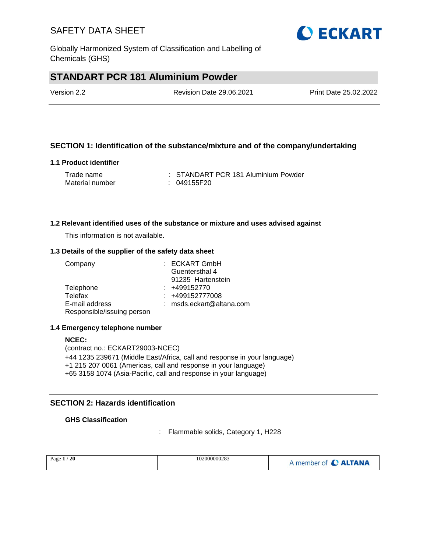Globally Harmonized System of Classification and Labelling of Chemicals (GHS)

# **STANDART PCR 181 Aluminium Powder**

| Version 2.2 | <b>Revision Date 29.06.2021</b> | Print Date 25.02.2022 |
|-------------|---------------------------------|-----------------------|
|             |                                 |                       |

### **SECTION 1: Identification of the substance/mixture and of the company/undertaking**

#### **1.1 Product identifier**

| Trade name      | : STANDART PCR 181 Aluminium Powder |
|-----------------|-------------------------------------|
| Material number | : 049155F20                         |

#### **1.2 Relevant identified uses of the substance or mixture and uses advised against**

This information is not available.

#### **1.3 Details of the supplier of the safety data sheet**

| Company                    | : ECKART GmbH            |
|----------------------------|--------------------------|
|                            | Guentersthal 4           |
|                            | 91235 Hartenstein        |
| Telephone                  | $: +499152770$           |
| Telefax                    | : +499152777008          |
| E-mail address             | : msds.eckart@altana.com |
| Responsible/issuing person |                          |

#### **1.4 Emergency telephone number**

**NCEC:** (contract no.: ECKART29003-NCEC) +44 1235 239671 (Middle East/Africa, call and response in your language) +1 215 207 0061 (Americas, call and response in your language) +65 3158 1074 (Asia-Pacific, call and response in your language)

### **SECTION 2: Hazards identification**

#### **GHS Classification**

: Flammable solids, Category 1, H228

| <b>20</b><br>Page $1/$ | 102000000283 | A member of <b>C ALTANA</b> |
|------------------------|--------------|-----------------------------|
|------------------------|--------------|-----------------------------|

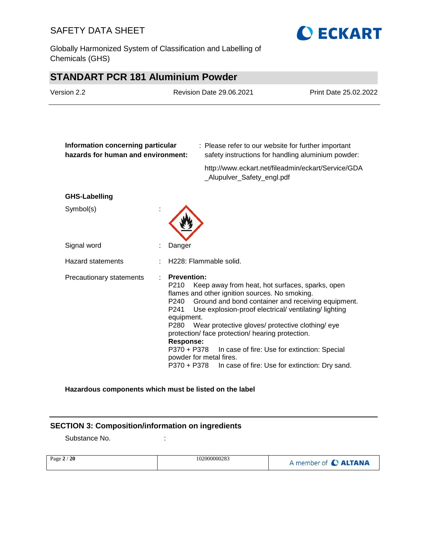Globally Harmonized System of Classification and Labelling of Chemicals (GHS)



# **STANDART PCR 181 Aluminium Powder**

| Version 2.2                                                             |                                                                                                                                            | <b>Revision Date 29.06.2021</b>                                                                                                                                                                                                                                                                                                                   | Print Date 25.02.2022                                                                          |
|-------------------------------------------------------------------------|--------------------------------------------------------------------------------------------------------------------------------------------|---------------------------------------------------------------------------------------------------------------------------------------------------------------------------------------------------------------------------------------------------------------------------------------------------------------------------------------------------|------------------------------------------------------------------------------------------------|
| Information concerning particular<br>hazards for human and environment: |                                                                                                                                            | : Please refer to our website for further important                                                                                                                                                                                                                                                                                               | safety instructions for handling aluminium powder:                                             |
|                                                                         |                                                                                                                                            | _Alupulver_Safety_engl.pdf                                                                                                                                                                                                                                                                                                                        | http://www.eckart.net/fileadmin/eckart/Service/GDA                                             |
| <b>GHS-Labelling</b>                                                    |                                                                                                                                            |                                                                                                                                                                                                                                                                                                                                                   |                                                                                                |
| Symbol(s)                                                               |                                                                                                                                            |                                                                                                                                                                                                                                                                                                                                                   |                                                                                                |
| Signal word                                                             | Danger                                                                                                                                     |                                                                                                                                                                                                                                                                                                                                                   |                                                                                                |
| <b>Hazard statements</b>                                                |                                                                                                                                            | H228: Flammable solid.                                                                                                                                                                                                                                                                                                                            |                                                                                                |
| Precautionary statements                                                | <b>Prevention:</b><br>P210<br>P240<br>P <sub>241</sub><br>equipment.<br>P <sub>280</sub><br><b>Response:</b><br>P370 + P378<br>P370 + P378 | Keep away from heat, hot surfaces, sparks, open<br>flames and other ignition sources. No smoking.<br>Ground and bond container and receiving equipment.<br>Use explosion-proof electrical/ventilating/lighting<br>Wear protective gloves/ protective clothing/ eye<br>protection/ face protection/ hearing protection.<br>powder for metal fires. | In case of fire: Use for extinction: Special<br>In case of fire: Use for extinction: Dry sand. |

### **Hazardous components which must be listed on the label**

### **SECTION 3: Composition/information on ingredients**

Substance No. **:** : :

| Page $2/20$ | 102000000283 | A member of C ALTANA |
|-------------|--------------|----------------------|
|             |              |                      |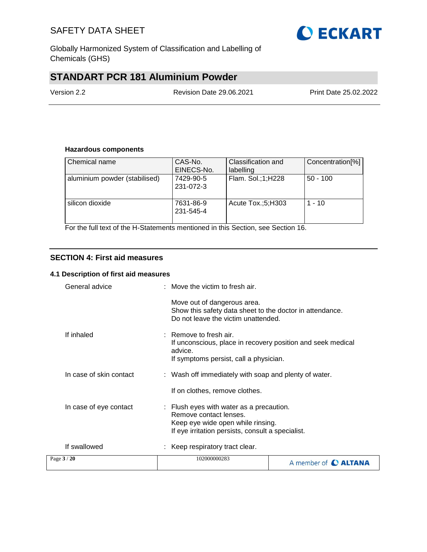

Globally Harmonized System of Classification and Labelling of Chemicals (GHS)

# **STANDART PCR 181 Aluminium Powder**

Version 2.2 Revision Date 29.06.2021 Print Date 25.02.2022

#### **Hazardous components**

| Chemical name                 | CAS-No.<br>EINECS-No.  | Classification and<br>labelling | Concentration <sup>[%]</sup> |
|-------------------------------|------------------------|---------------------------------|------------------------------|
| aluminium powder (stabilised) | 7429-90-5<br>231-072-3 | Flam. Sol.;1;H228               | $50 - 100$                   |
| silicon dioxide               | 7631-86-9<br>231-545-4 | Acute Tox.;5;H303               | $1 - 10$                     |

For the full text of the H-Statements mentioned in this Section, see Section 16.

#### **SECTION 4: First aid measures**

#### **4.1 Description of first aid measures**

| Page $3/20$             | 102000000283                                                                                                                                                 | A member of C ALTANA |
|-------------------------|--------------------------------------------------------------------------------------------------------------------------------------------------------------|----------------------|
| If swallowed            | : Keep respiratory tract clear.                                                                                                                              |                      |
| In case of eye contact  | : Flush eyes with water as a precaution.<br>Remove contact lenses.<br>Keep eye wide open while rinsing.<br>If eye irritation persists, consult a specialist. |                      |
|                         | If on clothes, remove clothes.                                                                                                                               |                      |
| In case of skin contact | : Wash off immediately with soap and plenty of water.                                                                                                        |                      |
| If inhaled              | $:$ Remove to fresh air.<br>If unconscious, place in recovery position and seek medical<br>advice.<br>If symptoms persist, call a physician.                 |                      |
|                         | Move out of dangerous area.<br>Show this safety data sheet to the doctor in attendance.<br>Do not leave the victim unattended.                               |                      |
| General advice          | $:$ Move the victim to fresh air.                                                                                                                            |                      |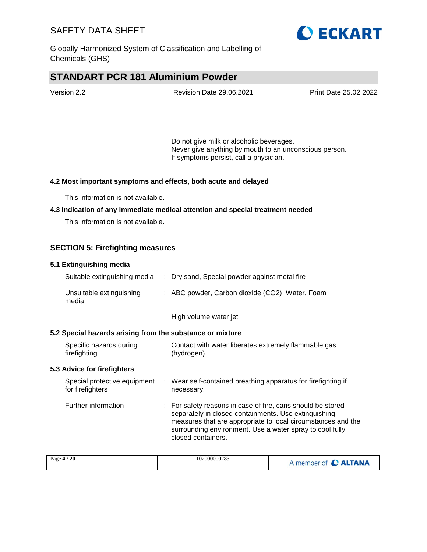

Globally Harmonized System of Classification and Labelling of Chemicals (GHS)

# **STANDART PCR 181 Aluminium Powder**

| Version 2.2 | <b>Revision Date 29.06.2021</b> | Print Date 25.02.2022 |
|-------------|---------------------------------|-----------------------|
|             |                                 |                       |

Do not give milk or alcoholic beverages. Never give anything by mouth to an unconscious person. If symptoms persist, call a physician.

#### **4.2 Most important symptoms and effects, both acute and delayed**

This information is not available.

#### **4.3 Indication of any immediate medical attention and special treatment needed**

This information is not available.

### **SECTION 5: Firefighting measures**

| 5.1 Extinguishing media                                   |                                                                                                                                                                                                                                                                       |
|-----------------------------------------------------------|-----------------------------------------------------------------------------------------------------------------------------------------------------------------------------------------------------------------------------------------------------------------------|
| Suitable extinguishing media                              | : Dry sand, Special powder against metal fire                                                                                                                                                                                                                         |
| Unsuitable extinguishing<br>media                         | : ABC powder, Carbon dioxide (CO2), Water, Foam                                                                                                                                                                                                                       |
|                                                           | High volume water jet                                                                                                                                                                                                                                                 |
| 5.2 Special hazards arising from the substance or mixture |                                                                                                                                                                                                                                                                       |
| Specific hazards during<br>firefighting                   | : Contact with water liberates extremely flammable gas<br>(hydrogen).                                                                                                                                                                                                 |
| 5.3 Advice for firefighters                               |                                                                                                                                                                                                                                                                       |
| Special protective equipment<br>for firefighters          | : Wear self-contained breathing apparatus for firefighting if<br>necessary.                                                                                                                                                                                           |
| Further information                                       | : For safety reasons in case of fire, cans should be stored<br>separately in closed containments. Use extinguishing<br>measures that are appropriate to local circumstances and the<br>surrounding environment. Use a water spray to cool fully<br>closed containers. |

| Page $4/20$ | 102000000283 | A member of C ALTANA |
|-------------|--------------|----------------------|
|-------------|--------------|----------------------|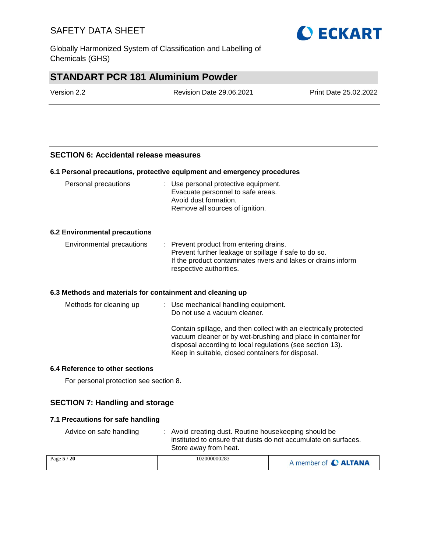Globally Harmonized System of Classification and Labelling of Chemicals (GHS)

# **STANDART PCR 181 Aluminium Powder**

| Version 2.2 | <b>Revision Date 29.06.2021</b> | Print Date 25.02.2022 |
|-------------|---------------------------------|-----------------------|
|             |                                 |                       |

#### **SECTION 6: Accidental release measures**

#### **6.1 Personal precautions, protective equipment and emergency procedures**

| Personal precautions                 | : Use personal protective equipment.<br>Evacuate personnel to safe areas.<br>Avoid dust formation.<br>Remove all sources of ignition.                                                        |
|--------------------------------------|----------------------------------------------------------------------------------------------------------------------------------------------------------------------------------------------|
| <b>6.2 Environmental precautions</b> |                                                                                                                                                                                              |
| Environmental precautions            | : Prevent product from entering drains.<br>Prevent further leakage or spillage if safe to do so.<br>If the product contaminates rivers and lakes or drains inform<br>respective authorities. |

### **6.3 Methods and materials for containment and cleaning up**

| Methods for cleaning up | : Use mechanical handling equipment.<br>Do not use a vacuum cleaner.                                                                                                                                                                                |
|-------------------------|-----------------------------------------------------------------------------------------------------------------------------------------------------------------------------------------------------------------------------------------------------|
|                         | Contain spillage, and then collect with an electrically protected<br>vacuum cleaner or by wet-brushing and place in container for<br>disposal according to local regulations (see section 13).<br>Keep in suitable, closed containers for disposal. |

### **6.4 Reference to other sections**

For personal protection see section 8.

#### **SECTION 7: Handling and storage**

#### **7.1 Precautions for safe handling**

| Advice on safe handling | : Avoid creating dust. Routine housekeeping should be<br>instituted to ensure that dusts do not accumulate on surfaces.<br>Store away from heat. |                                                                                                                            |
|-------------------------|--------------------------------------------------------------------------------------------------------------------------------------------------|----------------------------------------------------------------------------------------------------------------------------|
| Page $5/20$             | 102000000283                                                                                                                                     | <b>THE CONSTRUCTION OF A PARTICULAR CONTROL CONTROL</b> TO A 2005 OF A 2006 A 2006 OF A 2006 OF A 2006 OF A 2006 OF A 2007 |

| Page $5/20$ | 102000000283 | A member of C ALTANA |
|-------------|--------------|----------------------|
|-------------|--------------|----------------------|

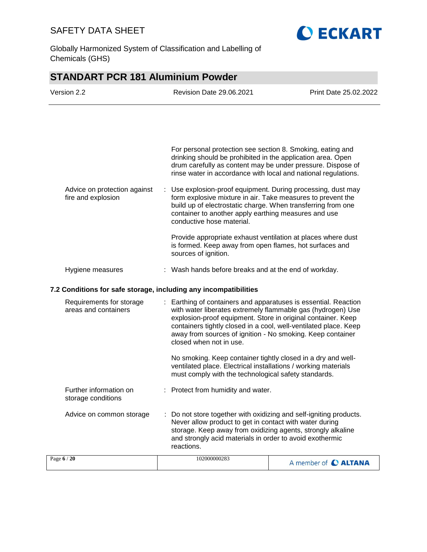

Globally Harmonized System of Classification and Labelling of Chemicals (GHS)

# **STANDART PCR 181 Aluminium Powder** Version 2.2 Revision Date 29.06.2021 Print Date 25.02.2022

| Advice on protection against<br>fire and explosion | For personal protection see section 8. Smoking, eating and<br>drinking should be prohibited in the application area. Open<br>drum carefully as content may be under pressure. Dispose of<br>rinse water in accordance with local and national regulations.<br>: Use explosion-proof equipment. During processing, dust may<br>form explosive mixture in air. Take measures to prevent the<br>build up of electrostatic charge. When transferring from one<br>container to another apply earthing measures and use<br>conductive hose material. |  |
|----------------------------------------------------|------------------------------------------------------------------------------------------------------------------------------------------------------------------------------------------------------------------------------------------------------------------------------------------------------------------------------------------------------------------------------------------------------------------------------------------------------------------------------------------------------------------------------------------------|--|
| Hygiene measures                                   | Provide appropriate exhaust ventilation at places where dust<br>is formed. Keep away from open flames, hot surfaces and<br>sources of ignition.<br>: Wash hands before breaks and at the end of workday.                                                                                                                                                                                                                                                                                                                                       |  |
|                                                    |                                                                                                                                                                                                                                                                                                                                                                                                                                                                                                                                                |  |

### **7.2 Conditions for safe storage, including any incompatibilities**

| Requirements for storage<br>areas and containers |  | : Earthing of containers and apparatuses is essential. Reaction<br>with water liberates extremely flammable gas (hydrogen) Use<br>explosion-proof equipment. Store in original container. Keep<br>containers tightly closed in a cool, well-ventilated place. Keep<br>away from sources of ignition - No smoking. Keep container<br>closed when not in use. |                      |
|--------------------------------------------------|--|-------------------------------------------------------------------------------------------------------------------------------------------------------------------------------------------------------------------------------------------------------------------------------------------------------------------------------------------------------------|----------------------|
|                                                  |  | No smoking. Keep container tightly closed in a dry and well-<br>ventilated place. Electrical installations / working materials<br>must comply with the technological safety standards.                                                                                                                                                                      |                      |
| Further information on<br>storage conditions     |  | : Protect from humidity and water.                                                                                                                                                                                                                                                                                                                          |                      |
| Advice on common storage                         |  | : Do not store together with oxidizing and self-igniting products.<br>Never allow product to get in contact with water during<br>storage. Keep away from oxidizing agents, strongly alkaline<br>and strongly acid materials in order to avoid exothermic<br>reactions.                                                                                      |                      |
| Page 6 / 20                                      |  | 102000000283                                                                                                                                                                                                                                                                                                                                                | A member of C ALTANA |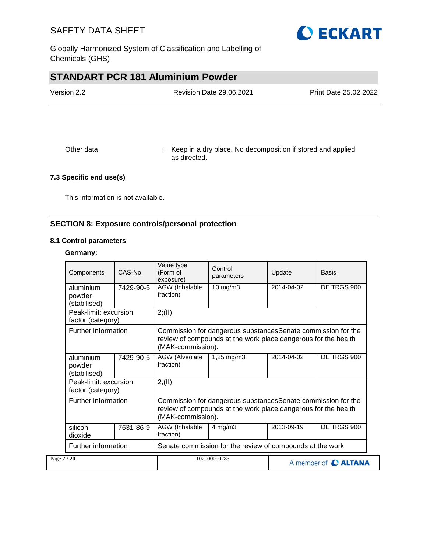

Globally Harmonized System of Classification and Labelling of Chemicals (GHS)

# **STANDART PCR 181 Aluminium Powder**

| Version 2.2 | <b>Revision Date 29.06.2021</b> |  |
|-------------|---------------------------------|--|
|             |                                 |  |
|             |                                 |  |
|             |                                 |  |

Other data : Keep in a dry place. No decomposition if stored and applied as directed.

### **7.3 Specific end use(s)**

This information is not available.

### **SECTION 8: Exposure controls/personal protection**

#### **8.1 Control parameters**

#### **Germany:**

| Components                                 | CAS-No.                                                                                                                                                                    | Value type<br>(Form of<br>exposure) | Control<br>parameters                                                                                                                                | Update     | <b>Basis</b> |  |
|--------------------------------------------|----------------------------------------------------------------------------------------------------------------------------------------------------------------------------|-------------------------------------|------------------------------------------------------------------------------------------------------------------------------------------------------|------------|--------------|--|
| aluminium<br>powder<br>(stabilised)        | 7429-90-5                                                                                                                                                                  | AGW (Inhalable<br>fraction)         | 10 mg/m3                                                                                                                                             | 2014-04-02 | DE TRGS 900  |  |
| Peak-limit: excursion<br>factor (category) |                                                                                                                                                                            | 2; (II)                             |                                                                                                                                                      |            |              |  |
| Further information                        |                                                                                                                                                                            |                                     | Commission for dangerous substances Senate commission for the<br>review of compounds at the work place dangerous for the health<br>(MAK-commission). |            |              |  |
| aluminium<br>powder<br>(stabilised)        | 7429-90-5                                                                                                                                                                  | AGW (Alveolate<br>fraction)         | 1,25 mg/m3                                                                                                                                           | 2014-04-02 | DE TRGS 900  |  |
| Peak-limit: excursion<br>factor (category) |                                                                                                                                                                            | 2; (II)                             |                                                                                                                                                      |            |              |  |
|                                            | Further information<br>Commission for dangerous substancesSenate commission for the<br>review of compounds at the work place dangerous for the health<br>(MAK-commission). |                                     |                                                                                                                                                      |            |              |  |
| silicon<br>dioxide                         | 7631-86-9                                                                                                                                                                  | AGW (Inhalable<br>fraction)         | $4$ mg/m $3$                                                                                                                                         | 2013-09-19 | DE TRGS 900  |  |
|                                            | Further information                                                                                                                                                        |                                     | Senate commission for the review of compounds at the work                                                                                            |            |              |  |
| Page 7 / 20                                |                                                                                                                                                                            |                                     | 102000000283<br>A member of C ALTANA                                                                                                                 |            |              |  |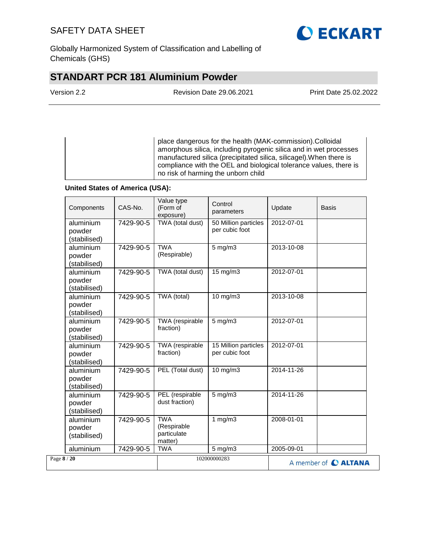

Globally Harmonized System of Classification and Labelling of Chemicals (GHS)

# **STANDART PCR 181 Aluminium Powder**

Version 2.2 Revision Date 29.06.2021 Print Date 25.02.2022

place dangerous for the health (MAK-commission).Colloidal amorphous silica, including pyrogenic silica and in wet processes manufactured silica (precipitated silica, silicagel).When there is compliance with the OEL and biological tolerance values, there is no risk of harming the unborn child

#### **United States of America (USA):**

| Components                          | CAS-No.   | Value type<br>(Form of<br>exposure)                 | Control<br>parameters                  | Update     | Basis                |
|-------------------------------------|-----------|-----------------------------------------------------|----------------------------------------|------------|----------------------|
| aluminium<br>powder<br>(stabilised) | 7429-90-5 | TWA (total dust)                                    | 50 Million particles<br>per cubic foot | 2012-07-01 |                      |
| aluminium<br>powder<br>(stabilised) | 7429-90-5 | <b>TWA</b><br>(Respirable)                          | $5$ mg/m $3$                           | 2013-10-08 |                      |
| aluminium<br>powder<br>(stabilised) | 7429-90-5 | TWA (total dust)                                    | $15 \text{ mg/m}$                      | 2012-07-01 |                      |
| aluminium<br>powder<br>(stabilised) | 7429-90-5 | TWA (total)                                         | 10 mg/m3                               | 2013-10-08 |                      |
| aluminium<br>powder<br>(stabilised) | 7429-90-5 | TWA (respirable<br>fraction)                        | $5 \text{ mg/m}$ 3                     | 2012-07-01 |                      |
| aluminium<br>powder<br>(stabilised) | 7429-90-5 | TWA (respirable<br>fraction)                        | 15 Million particles<br>per cubic foot | 2012-07-01 |                      |
| aluminium<br>powder<br>(stabilised) | 7429-90-5 | PEL (Total dust)                                    | 10 mg/m3                               | 2014-11-26 |                      |
| aluminium<br>powder<br>(stabilised) | 7429-90-5 | PEL (respirable<br>dust fraction)                   | $5$ mg/m $3$                           | 2014-11-26 |                      |
| aluminium<br>powder<br>(stabilised) | 7429-90-5 | <b>TWA</b><br>(Respirable<br>particulate<br>matter) | 1 $mg/m3$                              | 2008-01-01 |                      |
| aluminium                           | 7429-90-5 | <b>TWA</b>                                          | 5 mg/m3                                | 2005-09-01 |                      |
| Page 8 / 20                         |           |                                                     | 102000000283                           |            | A member of C ALTANA |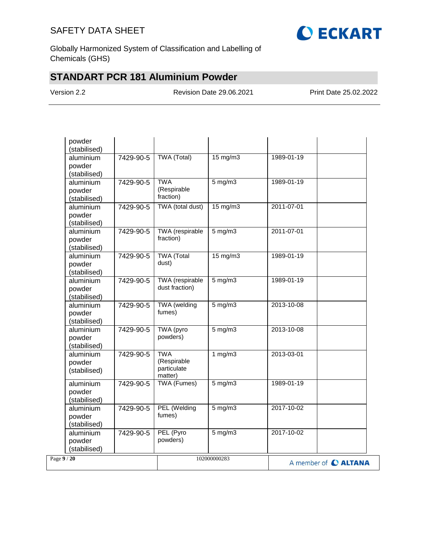

Globally Harmonized System of Classification and Labelling of Chemicals (GHS)

# **STANDART PCR 181 Aluminium Powder**

Version 2.2 Revision Date 29.06.2021 Print Date 25.02.2022

| powder<br>(stabilised)                           |                                                     |                                         |            |                      |
|--------------------------------------------------|-----------------------------------------------------|-----------------------------------------|------------|----------------------|
| aluminium<br>7429-90-5<br>powder<br>(stabilised) | TWA (Total)                                         | $15 \text{ mg/m}$                       | 1989-01-19 |                      |
| aluminium<br>7429-90-5<br>powder<br>(stabilised) | <b>TWA</b><br>(Respirable<br>fraction)              | $5$ mg/m $3$                            | 1989-01-19 |                      |
| aluminium<br>7429-90-5<br>powder<br>(stabilised) | TWA (total dust)                                    | $15 \text{ mg/m}$                       | 2011-07-01 |                      |
| aluminium<br>7429-90-5<br>powder<br>(stabilised) | TWA (respirable<br>fraction)                        | $5$ mg/m $3$                            | 2011-07-01 |                      |
| aluminium<br>7429-90-5<br>powder<br>(stabilised) | <b>TWA</b> (Total<br>dust)                          | $15 \text{ mg/m}$                       | 1989-01-19 |                      |
| aluminium<br>7429-90-5<br>powder<br>(stabilised) | TWA (respirable<br>dust fraction)                   | $5 \text{ mg/m}$                        | 1989-01-19 |                      |
| aluminium<br>7429-90-5<br>powder<br>(stabilised) | TWA (welding<br>fumes)                              | $5$ mg/m $3$                            | 2013-10-08 |                      |
| aluminium<br>7429-90-5<br>powder<br>(stabilised) | TWA (pyro<br>powders)                               | $5$ mg/m $3$                            | 2013-10-08 |                      |
| aluminium<br>7429-90-5<br>powder<br>(stabilised) | <b>TWA</b><br>(Respirable<br>particulate<br>matter) | 1 $mg/m3$                               | 2013-03-01 |                      |
| aluminium<br>7429-90-5<br>powder<br>(stabilised) | <b>TWA (Fumes)</b>                                  | $5 \overline{\mathrm{mg}} / \mathrm{m}$ | 1989-01-19 |                      |
| aluminium<br>7429-90-5<br>powder<br>(stabilised) | PEL (Welding<br>fumes)                              | $5$ mg/m $3$                            | 2017-10-02 |                      |
| aluminium<br>7429-90-5<br>powder<br>(stabilised) | PEL (Pyro<br>powders)                               | $5$ mg/m $3$                            | 2017-10-02 |                      |
| Page 9 / 20                                      |                                                     | 102000000283                            |            | A member of C ALTANA |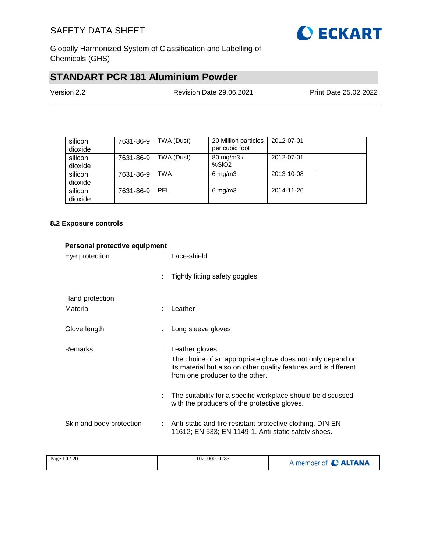

Globally Harmonized System of Classification and Labelling of Chemicals (GHS)

# **STANDART PCR 181 Aluminium Powder**

| Version 2.2 | <b>Revision Date 29.06.2021</b> | Print Date 25.02.2022 |
|-------------|---------------------------------|-----------------------|
|             |                                 |                       |

| silicon<br>dioxide | 7631-86-9 | TWA (Dust) | 20 Million particles<br>per cubic foot | 2012-07-01 |  |
|--------------------|-----------|------------|----------------------------------------|------------|--|
| silicon<br>dioxide | 7631-86-9 | TWA (Dust) | 80 mg/m3 /<br>%SiO <sub>2</sub>        | 2012-07-01 |  |
| silicon<br>dioxide | 7631-86-9 | TWA        | $6 \text{ mg/m}$ 3                     | 2013-10-08 |  |
| silicon<br>dioxide | 7631-86-9 | PEL        | $6 \text{ mg/m}$ 3                     | 2014-11-26 |  |

#### **8.2 Exposure controls**

| Personal protective equipment |                |                                                                                                                                                                                     |
|-------------------------------|----------------|-------------------------------------------------------------------------------------------------------------------------------------------------------------------------------------|
| Eye protection                | $\mathbb{R}^n$ | Face-shield                                                                                                                                                                         |
|                               |                | Tightly fitting safety goggles                                                                                                                                                      |
| Hand protection               |                |                                                                                                                                                                                     |
| Material                      |                | Leather                                                                                                                                                                             |
| Glove length                  |                | Long sleeve gloves                                                                                                                                                                  |
| <b>Remarks</b>                | ÷              | Leather gloves<br>The choice of an appropriate glove does not only depend on<br>its material but also on other quality features and is different<br>from one producer to the other. |
|                               |                | The suitability for a specific workplace should be discussed<br>with the producers of the protective gloves.                                                                        |
| Skin and body protection      | ÷              | Anti-static and fire resistant protective clothing. DIN EN<br>11612; EN 533; EN 1149-1. Anti-static safety shoes.                                                                   |

| '20<br>Page $10/$ | 102000000283 | <b>ALTANA</b><br>member of |
|-------------------|--------------|----------------------------|
|                   |              |                            |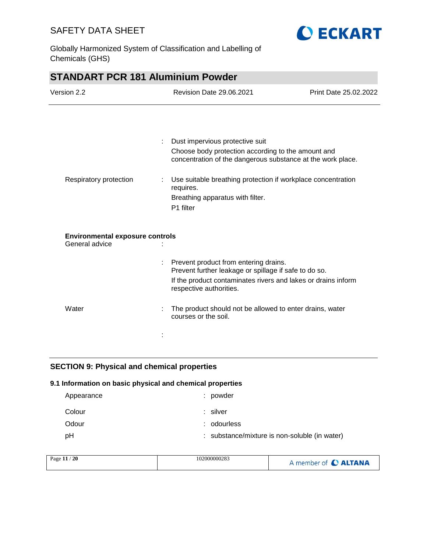

Globally Harmonized System of Classification and Labelling of Chemicals (GHS)

| <b>STANDART PCR 181 Aluminium Powder</b> |  |                                                                                                                   |                       |
|------------------------------------------|--|-------------------------------------------------------------------------------------------------------------------|-----------------------|
| Version 2.2                              |  | <b>Revision Date 29.06.2021</b>                                                                                   | Print Date 25.02.2022 |
|                                          |  |                                                                                                                   |                       |
|                                          |  | Dust impervious protective suit                                                                                   |                       |
|                                          |  | Choose body protection according to the amount and<br>concentration of the dangerous substance at the work place. |                       |
| Respiratory protection<br>requires.      |  | Use suitable breathing protection if workplace concentration                                                      |                       |
|                                          |  | Breathing apparatus with filter.<br>P1 filter                                                                     |                       |
| <b>Environmental exposure controls</b>   |  |                                                                                                                   |                       |
| General advice                           |  |                                                                                                                   |                       |
|                                          |  | Prevent product from entering drains.<br>Prevent further leakage or spillage if safe to do so.                    |                       |
|                                          |  | If the product contaminates rivers and lakes or drains inform<br>respective authorities.                          |                       |
| Water                                    |  | The product should not be allowed to enter drains, water<br>courses or the soil.                                  |                       |
|                                          |  |                                                                                                                   |                       |

### **SECTION 9: Physical and chemical properties**

### **9.1 Information on basic physical and chemical properties**

| Appearance | : powder                                      |
|------------|-----------------------------------------------|
| Colour     | : silver                                      |
| Odour      | : odourless                                   |
| pH         | : substance/mixture is non-soluble (in water) |

| Page 11 / 20 | 102000000283 | A member of C ALTANA |
|--------------|--------------|----------------------|
|              |              |                      |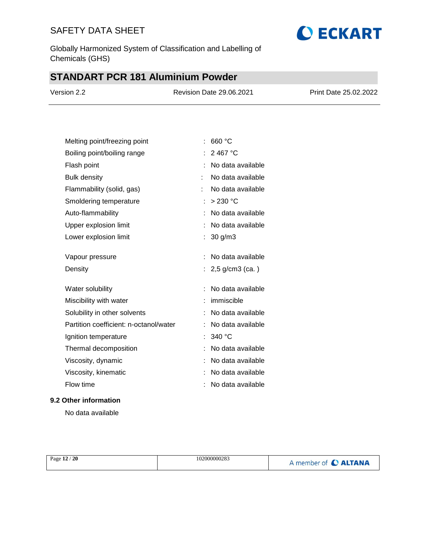Globally Harmonized System of Classification and Labelling of Chemicals (GHS)

# **STANDART PCR 181 Aluminium Powder**

| Version 2.2 | <b>Revision Date 29.06.2021</b> | Print Date 25.02.2022 |
|-------------|---------------------------------|-----------------------|
|             |                                 |                       |

**O ECKART** 

| Melting point/freezing point           | 660 °C              |
|----------------------------------------|---------------------|
| Boiling point/boiling range            | 2467 °C             |
| Flash point                            | No data available   |
| <b>Bulk density</b>                    | No data available   |
| Flammability (solid, gas)              | No data available   |
| Smoldering temperature                 | $>230$ °C           |
| Auto-flammability                      | No data available   |
| Upper explosion limit                  | No data available   |
| Lower explosion limit                  | $30$ g/m $3$        |
|                                        |                     |
| Vapour pressure                        | No data available   |
| Density                                | : $2,5$ g/cm3 (ca.) |
| Water solubility                       | No data available   |
| Miscibility with water                 | immiscible          |
| Solubility in other solvents           | No data available   |
| Partition coefficient: n-octanol/water | No data available   |
| Ignition temperature                   | 340 °C              |
| Thermal decomposition                  | No data available   |
| Viscosity, dynamic                     | No data available   |
| Viscosity, kinematic                   | No data available   |
| Flow time                              |                     |

### **9.2 Other information**

No data available

| Page 12 / 20 | 102000000283 | A member of <b>C ALTANA</b> |
|--------------|--------------|-----------------------------|
|--------------|--------------|-----------------------------|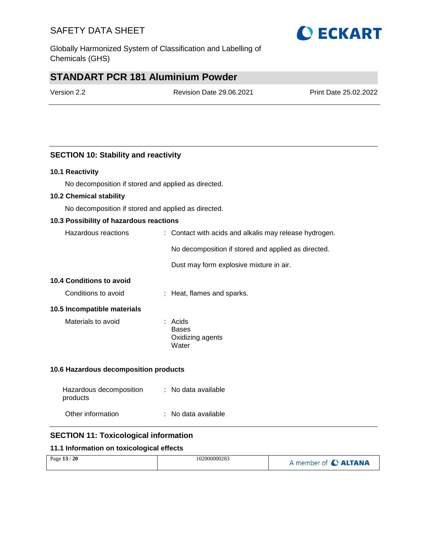Globally Harmonized System of Classification and Labelling of Chemicals (GHS)

# **STANDART PCR 181 Aluminium Powder**

Version 2.2 Revision Date 29.06.2021 Print Date 25.02.2022

### **SECTION 10: Stability and reactivity**

#### **10.1 Reactivity**

No decomposition if stored and applied as directed.

#### **10.2 Chemical stability**

No decomposition if stored and applied as directed.

#### **10.3 Possibility of hazardous reactions**

| Hazardous reactions | : Contact with acids and alkalis may release hydrogen. |
|---------------------|--------------------------------------------------------|
|                     | No decomposition if stored and applied as directed.    |
|                     | Dust may form explosive mixture in air.                |

### **10.4 Conditions to avoid**

| Conditions to avoid | : Heat, flames and sparks. |
|---------------------|----------------------------|
|                     |                            |

#### **10.5 Incompatible materials**

| Materials to avoid | : Acids          |
|--------------------|------------------|
|                    | Bases            |
|                    | Oxidizing agents |
|                    | Water            |

#### **10.6 Hazardous decomposition products**

| Hazardous decomposition<br>products | : No data available |
|-------------------------------------|---------------------|
| Other information                   | : No data available |

#### **SECTION 11: Toxicological information**

#### **11.1 Information on toxicological effects**

| 20<br>Page $13/$ | 102000000283 | A member of <b>C ALTANA</b> |
|------------------|--------------|-----------------------------|
|------------------|--------------|-----------------------------|

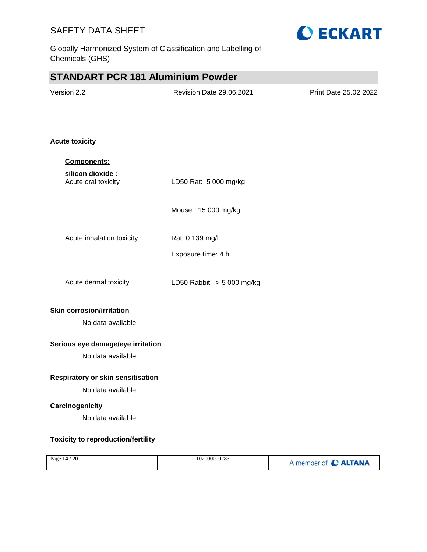

# **STANDART PCR 181 Aluminium Powder**

| Version 2.2 | Revision Date 29.06.2021 | Print Date 25.02.2022 |
|-------------|--------------------------|-----------------------|
|             |                          |                       |

### **Acute toxicity**

| Components:                               |                              |
|-------------------------------------------|------------------------------|
| silicon dioxide :<br>Acute oral toxicity  | : LD50 Rat: 5 000 mg/kg      |
|                                           | Mouse: 15 000 mg/kg          |
| Acute inhalation toxicity                 | : Rat: $0,139 \text{ mg/l}$  |
|                                           | Exposure time: 4 h           |
| Acute dermal toxicity                     | : LD50 Rabbit: > 5 000 mg/kg |
| <b>Skin corrosion/irritation</b>          |                              |
| No data available                         |                              |
| Serious eye damage/eye irritation         |                              |
| No data available                         |                              |
| <b>Respiratory or skin sensitisation</b>  |                              |
| No data available                         |                              |
| Carcinogenicity                           |                              |
| No data available                         |                              |
| <b>Toxicity to reproduction/fertility</b> |                              |

| Page $14/20$<br>102000000283 | A member of C ALTANA |
|------------------------------|----------------------|
|------------------------------|----------------------|

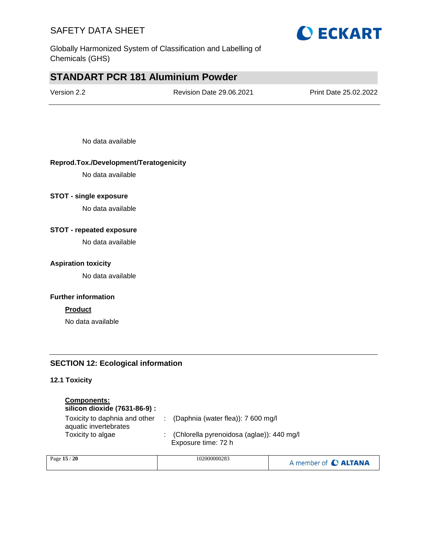

Globally Harmonized System of Classification and Labelling of Chemicals (GHS)

# **STANDART PCR 181 Aluminium Powder**

Revision Date 29.06.2021 Print Date 25.02.2022

No data available

### **Reprod.Tox./Development/Teratogenicity**

No data available

#### **STOT - single exposure**

No data available

#### **STOT - repeated exposure**

No data available

#### **Aspiration toxicity**

No data available

#### **Further information**

#### **Product**

No data available

#### **SECTION 12: Ecological information**

### **12.1 Toxicity**

### **Components:**

### **silicon dioxide (7631-86-9) :**

| Toxicity to daphnia and other | : (Daphnia (water flea)): $7600$ mg/l       |
|-------------------------------|---------------------------------------------|
| aquatic invertebrates         |                                             |
| Toxicity to algae             | : (Chlorella pyrenoidosa (aglae)): 440 mg/l |
|                               | Exposure time: 72 h                         |

| Page $15/$<br>- 20 | 102000000283 | A member of C ALTANA |
|--------------------|--------------|----------------------|
|                    |              |                      |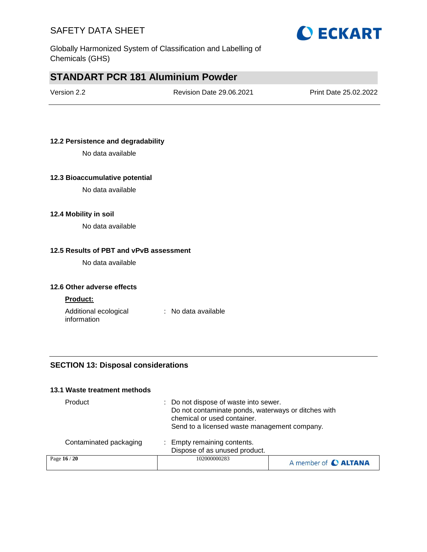

Globally Harmonized System of Classification and Labelling of Chemicals (GHS)

# **STANDART PCR 181 Aluminium Powder**

| Version 2.2 |  |
|-------------|--|
|-------------|--|

Revision Date 29.06.2021 Print Date 25.02.2022

### **12.2 Persistence and degradability**

No data available

#### **12.3 Bioaccumulative potential**

No data available

#### **12.4 Mobility in soil**

No data available

#### **12.5 Results of PBT and vPvB assessment**

No data available

#### **12.6 Other adverse effects**

#### **Product:**

Additional ecological information : No data available

### **SECTION 13: Disposal considerations**

#### **13.1 Waste treatment methods**

| Product                | : Do not dispose of waste into sewer.<br>Do not contaminate ponds, waterways or ditches with<br>chemical or used container.<br>Send to a licensed waste management company. |                      |
|------------------------|-----------------------------------------------------------------------------------------------------------------------------------------------------------------------------|----------------------|
| Contaminated packaging | : Empty remaining contents.<br>Dispose of as unused product.                                                                                                                |                      |
| Page 16 / 20           | 102000000283                                                                                                                                                                | A member of C ALTANA |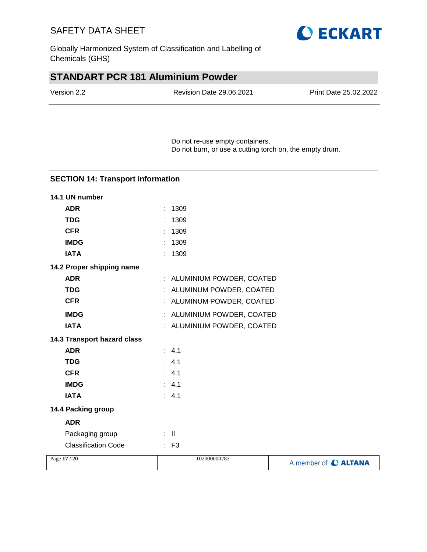

Globally Harmonized System of Classification and Labelling of Chemicals (GHS)

# **STANDART PCR 181 Aluminium Powder**

| Version 2.2 | <b>Revision Date 29.06.2021</b> | Print Date 25.02.2022 |
|-------------|---------------------------------|-----------------------|
|             |                                 |                       |

Do not re-use empty containers. Do not burn, or use a cutting torch on, the empty drum.

### **SECTION 14: Transport information**

| 14.1 UN number              |                            |                      |
|-----------------------------|----------------------------|----------------------|
| <b>ADR</b>                  | : 1309                     |                      |
| <b>TDG</b>                  | 1309                       |                      |
| <b>CFR</b>                  | 1309                       |                      |
| <b>IMDG</b>                 | 1309                       |                      |
| <b>IATA</b>                 | : 1309                     |                      |
| 14.2 Proper shipping name   |                            |                      |
| <b>ADR</b>                  | : ALUMINIUM POWDER, COATED |                      |
| <b>TDG</b>                  | : ALUMINUM POWDER, COATED  |                      |
| <b>CFR</b>                  | : ALUMINUM POWDER, COATED  |                      |
| <b>IMDG</b>                 | : ALUMINIUM POWDER, COATED |                      |
| <b>IATA</b>                 | : ALUMINIUM POWDER, COATED |                      |
| 14.3 Transport hazard class |                            |                      |
| <b>ADR</b>                  | : 4.1                      |                      |
| <b>TDG</b>                  | : 4.1                      |                      |
| <b>CFR</b>                  | : 4.1                      |                      |
| <b>IMDG</b>                 | : 4.1                      |                      |
| <b>IATA</b>                 | : 4.1                      |                      |
| 14.4 Packing group          |                            |                      |
| <b>ADR</b>                  |                            |                      |
| Packaging group             | $\pm$ 11                   |                      |
| <b>Classification Code</b>  | $\therefore$ F3            |                      |
| Page 17 / 20                | 102000000283               | A member of C ALTANA |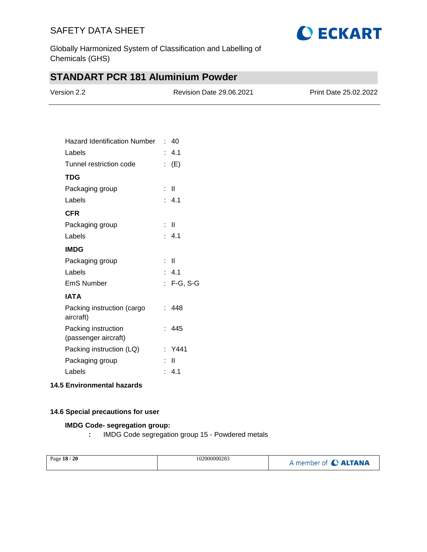

Globally Harmonized System of Classification and Labelling of Chemicals (GHS)

# **STANDART PCR 181 Aluminium Powder**

| Version 2.2 | <b>Revision Date 29.06.2021</b> | <b>Print Date 25.02.2022</b> |
|-------------|---------------------------------|------------------------------|
|             |                                 |                              |

| Hazard Identification Number                |    | : 40             |
|---------------------------------------------|----|------------------|
| Labels                                      |    | : 4.1            |
| Tunnel restriction code                     |    | : (E)            |
| <b>TDG</b>                                  |    |                  |
| Packaging group                             | t. | $\mathbf{I}$     |
| Labels                                      |    | $\therefore$ 4.1 |
| <b>CFR</b>                                  |    |                  |
| Packaging group                             |    | : II             |
| Labels                                      |    | : 4.1            |
| <b>IMDG</b>                                 |    |                  |
| Packaging group                             | t  | - 11             |
| Labels                                      |    | : 4.1            |
| <b>EmS Number</b>                           |    | : F-G, S-G       |
| <b>IATA</b>                                 |    |                  |
| Packing instruction (cargo<br>aircraft)     |    | : 448            |
| Packing instruction<br>(passenger aircraft) |    | : 445            |
| Packing instruction (LQ)                    |    | : Y441           |
| Packaging group                             |    | Ш                |
| Labels                                      |    | : 4.1            |
|                                             |    |                  |

#### **14.5 Environmental hazards**

#### **14.6 Special precautions for user**

### **IMDG Code- segregation group:**

**:** IMDG Code segregation group 15 - Powdered metals

| Page 18 / 20 | 102000000283 | A member of C ALTANA |
|--------------|--------------|----------------------|
|              |              |                      |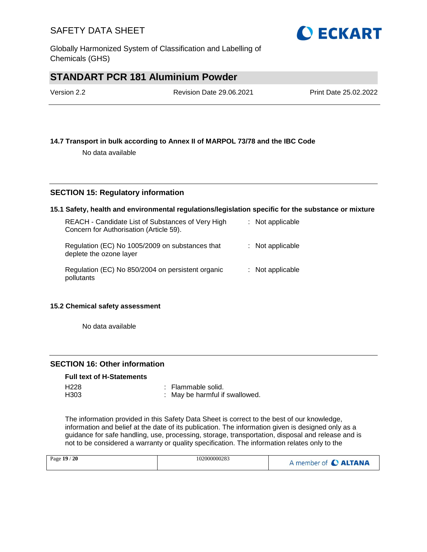Globally Harmonized System of Classification and Labelling of Chemicals (GHS)

# **STANDART PCR 181 Aluminium Powder**

| Version 2.2 | <b>Revision Date 29.06.2021</b> | Print Date 25.02.2022 |
|-------------|---------------------------------|-----------------------|
|             |                                 |                       |

### **14.7 Transport in bulk according to Annex II of MARPOL 73/78 and the IBC Code**

No data available

### **SECTION 15: Regulatory information**

#### **15.1 Safety, health and environmental regulations/legislation specific for the substance or mixture**

| REACH - Candidate List of Substances of Very High<br>Concern for Authorisation (Article 59). | $:$ Not applicable |
|----------------------------------------------------------------------------------------------|--------------------|
| Regulation (EC) No 1005/2009 on substances that<br>deplete the ozone layer                   | $:$ Not applicable |
| Regulation (EC) No 850/2004 on persistent organic<br>pollutants                              | $:$ Not applicable |

#### **15.2 Chemical safety assessment**

No data available

### **SECTION 16: Other information**

#### **Full text of H-Statements**

| H <sub>228</sub> | : Flammable solid.             |
|------------------|--------------------------------|
| H303             | : May be harmful if swallowed. |

The information provided in this Safety Data Sheet is correct to the best of our knowledge, information and belief at the date of its publication. The information given is designed only as a guidance for safe handling, use, processing, storage, transportation, disposal and release and is not to be considered a warranty or quality specification. The information relates only to the

|--|